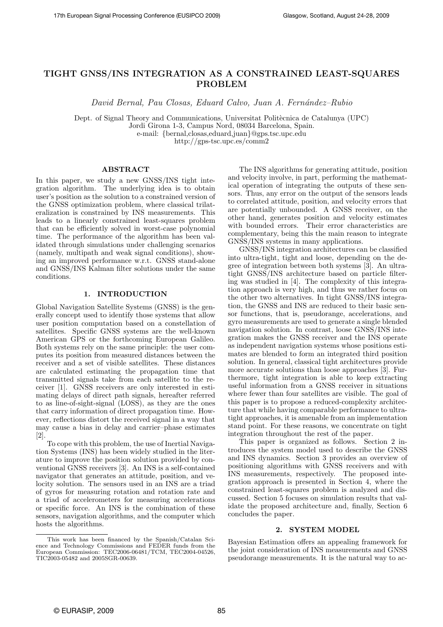# TIGHT GNSS/INS INTEGRATION AS A CONSTRAINED LEAST-SQUARES PROBLEM

David Bernal, Pau Closas, Eduard Calvo, Juan A. Fern´andez–Rubio

Dept. of Signal Theory and Communications, Universitat Politècnica de Catalunya (UPC) Jordi Girona 1-3, Campus Nord, 08034 Barcelona, Spain.

e-mail: {bernal,closas,eduard,juan}@gps.tsc.upc.edu

http://gps-tsc.upc.es/comm2

## ABSTRACT

In this paper, we study a new GNSS/INS tight integration algorithm. The underlying idea is to obtain user's position as the solution to a constrained version of the GNSS optimization problem, where classical trilateralization is constrained by INS measurements. This leads to a linearly constrained least-squares problem that can be efficiently solved in worst-case polynomial time. The performance of the algorithm has been validated through simulations under challenging scenarios (namely, multipath and weak signal conditions), showing an improved performance w.r.t. GNSS stand-alone and GNSS/INS Kalman filter solutions under the same conditions.

## 1. INTRODUCTION

Global Navigation Satellite Systems (GNSS) is the generally concept used to identify those systems that allow user position computation based on a constellation of satellites. Specific GNSS systems are the well-known American GPS or the forthcoming European Galileo. Both systems rely on the same principle: the user computes its position from measured distances between the receiver and a set of visible satellites. These distances are calculated estimating the propagation time that transmitted signals take from each satellite to the receiver [1]. GNSS receivers are only interested in estimating delays of direct path signals, hereafter referred to as line-of-sight-signal (LOSS), as they are the ones that carry information of direct propagation time. However, reflections distort the received signal in a way that may cause a bias in delay and carrier–phase estimates [2].

To cope with this problem, the use of Inertial Navigation Systems (INS) has been widely studied in the literature to improve the position solution provided by conventional GNSS receivers [3]. An INS is a self-contained navigator that generates an attitude, position, and velocity solution. The sensors used in an INS are a triad of gyros for measuring rotation and rotation rate and a triad of accelerometers for measuring accelerations or specific force. An INS is the combination of these sensors, navigation algorithms, and the computer which hosts the algorithms.

The INS algorithms for generating attitude, position and velocity involve, in part, performing the mathematical operation of integrating the outputs of these sensors. Thus, any error on the output of the sensors leads to correlated attitude, position, and velocity errors that are potentially unbounded. A GNSS receiver, on the other hand, generates position and velocity estimates with bounded errors. Their error characteristics are complementary, being this the main reason to integrate GNSS/INS systems in many applications.

GNSS/INS integration architectures can be classified into ultra-tight, tight and loose, depending on the degree of integration between both systems [3]. An ultratight GNSS/INS architecture based on particle filtering was studied in [4]. The complexity of this integration approach is very high, and thus we rather focus on the other two alternatives. In tight GNSS/INS integration, the GNSS and INS are reduced to their basic sensor functions, that is, pseudorange, accelerations, and gyro measurements are used to generate a single blended navigation solution. In contrast, loose GNSS/INS integration makes the GNSS receiver and the INS operate as independent navigation systems whose positions estimates are blended to form an integrated third position solution. In general, classical tight architectures provide more accurate solutions than loose approaches [3]. Furthermore, tight integration is able to keep extracting useful information from a GNSS receiver in situations where fewer than four satellites are visible. The goal of this paper is to propose a reduced-complexity architecture that while having comparable performance to ultratight approaches, it is amenable from an implementation stand point. For these reasons, we concentrate on tight integration throughout the rest of the paper.

This paper is organized as follows. Section 2 introduces the system model used to describe the GNSS and INS dynamics. Section 3 provides an overview of positioning algorithms with GNSS receivers and with INS measurements, respectively. The proposed integration approach is presented in Section 4, where the constrained least-squares problem is analyzed and discussed. Section 5 focuses on simulation results that validate the proposed architecture and, finally, Section 6 concludes the paper.

#### 2. SYSTEM MODEL

Bayesian Estimation offers an appealing framework for the joint consideration of INS measurements and GNSS pseudorange measurements. It is the natural way to ac-

This work has been financed by the Spanish/Catalan Science and Technology Commissions and FEDER funds from the European Commission: TEC2006-06481/TCM, TEC2004-04526, TIC2003-05482 and 2005SGR-00639.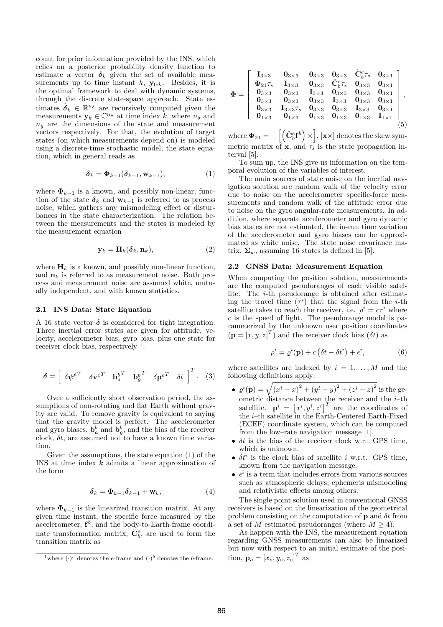count for prior information provided by the INS, which relies on a posterior probability density function to estimate a vector  $\delta_k$  given the set of available measurements up to time instant  $k$ ,  $\mathbf{y}_{0:k}$ . Besides, it is the optimal framework to deal with dynamic systems, through the discrete state-space approach. State estimates  $\hat{\boldsymbol{\delta}}_k \in \mathbb{R}^{n_{\delta}}$  are recursively computed given the measurements  $y_k \in \mathbb{C}^{n_y}$  at time index k, where  $n_\delta$  and  $n_y$  are the dimensions of the state and measurement vectors respectively. For that, the evolution of target states (on which measurements depend on) is modeled using a discrete-time stochastic model, the state equation, which in general reads as

$$
\delta_k = \Phi_{k-1}(\delta_{k-1}, \mathbf{w}_{k-1}),\tag{1}
$$

where  $\Phi_{k-1}$  is a known, and possibly non-linear, function of the state  $\delta_k$  and  $\mathbf{w}_{k-1}$  is referred to as process noise, which gathers any mismodeling effect or disturbances in the state characterization. The relation between the measurements and the states is modeled by the measurement equation

$$
\mathbf{y}_k = \mathbf{H}_k(\boldsymbol{\delta}_k, \mathbf{n}_k),\tag{2}
$$

where  $H_k$  is a known, and possibly non-linear function, and  $n_k$  is referred to as measurement noise. Both process and measurement noise are assumed white, mutually independent, and with known statistics.

#### 2.1 INS Data: State Equation

A 16 state vector  $\delta$  is considered for tight integration. Three inertial error states are given for attitude, velocity, accelerometer bias, gyro bias, plus one state for receiver clock bias, respectively <sup>1</sup>:

$$
\boldsymbol{\delta} = \begin{bmatrix} \delta \boldsymbol{\psi}^{eT} & \delta \mathbf{v}^{eT} & \mathbf{b}_a^{b^T} & \mathbf{b}_g^{b^T} & \delta \mathbf{p}^{eT} & \delta t \end{bmatrix}^T. \quad (3)
$$

Over a sufficiently short observation period, the assumptions of non-rotating and flat Earth without gravity are valid. To remove gravity is equivalent to saying that the gravity model is perfect. The accelerometer and gyro biases,  $\mathbf{b}_a^b$  and  $\mathbf{b}_g^b$ , and the bias of the receiver clock,  $\delta t$ , are assumed not to have a known time variation.

Given the assumptions, the state equation (1) of the INS at time index k admits a linear approximation of the form

$$
\delta_k = \Phi_{k-1}\delta_{k-1} + \mathbf{w}_k, \tag{4}
$$

where  $\Phi_{k-1}$  is the linearized transition matrix. At any given time instant, the specific force measured by the  $\alpha$  accelerometer,  $f^b$ , and the body-to-Earth-frame coordinate transformation matrix,  $\check{C}_b^e$ , are used to form the transition matrix as

$$
\Phi=\left[\begin{array}{cccccc}I_{3\times 3}&0_{3\times 3}&0_{3\times 3}&\hat{C}^e_b\tau_s&0_{3\times 1}\\ \Phi_{21}\tau_s&I_{3\times 3}&0_{3\times 3}&\hat{C}^e_b\tau_s&0_{3\times 3}&0_{3\times 1}\\ 0_{3\times 3}&0_{3\times 3}&I_{3\times 3}&0_{3\times 3}&0_{3\times 3}&0_{3\times 1}\\ 0_{3\times 3}&0_{3\times 3}&0_{3\times 3}&I_{3\times 3}&0_{3\times 3}&0_{3\times 1}\\ 0_{3\times 3}&I_{3\times 3}\tau_s&0_{3\times 3}&0_{3\times 3}&I_{3\times 3}&0_{3\times 1}\\ 0_{1\times 3}&0_{1\times 3}&0_{1\times 3}&0_{1\times 3}&0_{1\times 3}&I_{1\times 1}\end{array}\right],\quad(5)
$$

where  $\Phi_{21} = \hat{\mathbf{C}}_b^e\mathbf{f}^b\Big)$ ×  $, \{x \times \}$  denotes the skew symmetric matrix of  $\mathbf{x}$ , and  $\tau_s$  is the state propagation interval [5].

To sum up, the INS give us information on the temporal evolution of the variables of interest.

The main sources of state noise on the inertial navigation solution are random walk of the velocity error due to noise on the accelerometer specific-force measurements and random walk of the attitude error due to noise on the gyro angular-rate measurements. In addition, where separate accelerometer and gyro dynamic bias states are not estimated, the in-run time variation of the accelerometer and gyro biases can be approximated as white noise. The state noise covariance matrix,  $\Sigma_w$ , assuming 16 states is defined in [5].

## 2.2 GNSS Data: Measurement Equation

When computing the position solution, measurements are the computed pseudoranges of each visible satellite. The i-th pseudorange is obtained after estimating the travel time  $(\tau^i)$  that the signal from the *i*-th satellite takes to reach the receiver, i.e.  $\rho^i = c\tau^i$  where  $c$  is the speed of light. The pseudorange model is parameterized by the unknown user position coordinates  $(\mathbf{p} = [x, y, z]^T)$  and the receiver clock bias  $(\delta t)$  as

$$
\rho^{i} = \varrho^{i}(\mathbf{p}) + c\left(\delta t - \delta t^{i}\right) + \epsilon^{i},\tag{6}
$$

where satellites are indexed by  $i = 1, \ldots, M$  and the following definitions apply:

- $\varrho^{i}(\mathbf{p}) = \sqrt{(x^{i} x)^{2} + (y^{i} y)^{2} + (z^{i} z)^{2}}$  is the geometric distance between the receiver and the  $i$ -th ometric distance<br>satellite.  $\mathbf{p}^i = [$ between the receiver and the *i*-th<br>  $[x^i, y^i, z^i]^T$  are the coordinates of the i–th satellite in the Earth-Centered Earth-Fixed (ECEF) coordinate system, which can be computed from the low–rate navigation message [1].
- $\delta t$  is the bias of the receiver clock w.r.t GPS time, which is unknown.
- $\delta t^i$  is the clock bias of satellite i w.r.t. GPS time, known from the navigation message.
- $\epsilon^i$  is a term that includes errors from various sources such as atmospheric delays, ephemeris mismodeling and relativistic effects among others.

The single point solution used in conventional GNSS receivers is based on the linearization of the geometrical problem consisting on the computation of **p** and  $\delta t$  from a set of M estimated pseudoranges (where  $M \geq 4$ ).

As happen with the INS, the measurement equation regarding GNSS measurements can also be linearized but now with respect to an initial estimate of the position,  $\mathbf{p}_o = [x_o, y_o, z_o]^T$  as

<sup>&</sup>lt;sup>1</sup>where  $(\cdot)^e$  denotes the e-frame and  $(\cdot)^b$  denotes the b-frame.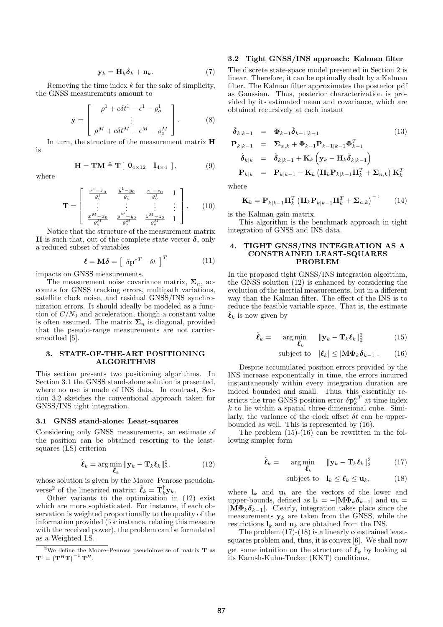$$
\mathbf{y}_k = \mathbf{H}_k \boldsymbol{\delta}_k + \mathbf{n}_k. \tag{7}
$$

Removing the time index  $k$  for the sake of simplicity, the GNSS measurements amount to

$$
\mathbf{y} = \begin{bmatrix} \rho^1 + c\delta t^1 - \epsilon^1 - \varrho_o^1 \\ \vdots \\ \rho^M + c\delta t^M - \epsilon^M - \varrho_o^M \end{bmatrix} . \tag{8}
$$

In turn, the structure of the measurement matrix H is

$$
\mathbf{H} = \mathbf{T} \mathbf{M} \triangleq \mathbf{T} [ \mathbf{0}_{4 \times 12} \quad \mathbf{I}_{4 \times 4} ], \tag{9}
$$

$$
\mathbf{T} = \left[ \begin{array}{cccc} \frac{x^1 - x_0}{\varrho_o^1} & \frac{y^1 - y_0}{\varrho_o^1} & \frac{z^1 - z_0}{\varrho_o^1} & 1 \\ \vdots & \vdots & \vdots & \vdots \\ \frac{x^M - x_0}{\varrho_o^M} & \frac{y^M - y_0}{\varrho_o^M} & \frac{z^M - z_0}{\varrho_o^M} & 1 \end{array} \right].
$$

Notice that the structure of the measurement matrix H is such that, out of the complete state vector  $\delta$ , only a reduced subset of variables

$$
\boldsymbol{\ell} = \mathbf{M}\boldsymbol{\delta} = \begin{bmatrix} \delta \mathbf{p}^{eT} & \delta t \end{bmatrix}^T \tag{11}
$$

impacts on GNSS measurements.

where

The measurement noise covariance matrix,  $\Sigma_n$ , accounts for GNSS tracking errors, multipath variations, satellite clock noise, and residual GNSS/INS synchronization errors. It should ideally be modeled as a function of  $C/N_0$  and acceleration, though a constant value is often assumed. The matrix  $\Sigma_n$  is diagonal, provided that the pseudo-range measurements are not carriersmoothed [5].

## 3. STATE-OF-THE-ART POSITIONING ALGORITHMS

This section presents two positioning algorithms. In Section 3.1 the GNSS stand-alone solution is presented, where no use is made of INS data. In contrast, Section 3.2 sketches the conventional approach taken for GNSS/INS tight integration.

#### 3.1 GNSS stand-alone: Least-squares

Considering only GNSS measurements, an estimate of the position can be obtained resorting to the leastsquares (LS) criterion

$$
\hat{\boldsymbol{\ell}}_k = \arg\min_{\boldsymbol{\ell}_k} \|\mathbf{y}_k - \mathbf{T}_k \boldsymbol{\ell}_k\|_2^2, \tag{12}
$$

whose solution is given by the Moore–Penrose pseudoinverse<sup>2</sup> of the linearized matrix:  $\hat{\ell}_k = \mathbf{T}_k^{\dagger} \mathbf{y}_k$ .

Other variants to the optimization in (12) exist which are more sophisticated. For instance, if each observation is weighted proportionally to the quality of the information provided (for instance, relating this measure with the received power), the problem can be formulated as a Weighted LS.

## 3.2 Tight GNSS/INS approach: Kalman filter

The discrete state-space model presented in Section 2 is linear. Therefore, it can be optimally dealt by a Kalman filter. The Kalman filter approximates the posterior pdf as Gaussian. Thus, posterior characterization is provided by its estimated mean and covariance, which are obtained recursively at each instant

$$
\hat{\delta}_{k|k-1} = \Phi_{k-1} \hat{\delta}_{k-1|k-1}
$$
\n
$$
\mathbf{P}_{k|k-1} = \Sigma_{w,k} + \Phi_{k-1} \mathbf{P}_{k-1|k-1} \Phi_{k-1}^T
$$
\n
$$
\hat{\delta}_{k|k} = \hat{\delta}_{k|k-1} + \mathbf{K}_k \left( \mathbf{y}_k - \mathbf{H}_k \hat{\delta}_{k|k-1} \right)
$$
\n
$$
\mathbf{P}_{k|k} = \mathbf{P}_{k|k-1} - \mathbf{K}_k \left( \mathbf{H}_k \mathbf{P}_{k|k-1} \mathbf{H}_k^T + \Sigma_{n,k} \right) \mathbf{K}_k^T
$$

where

 $(10)$ 

$$
\mathbf{K}_{k} = \mathbf{P}_{k|k-1} \mathbf{H}_{k}^{T} \left( \mathbf{H}_{k} \mathbf{P}_{k|k-1} \mathbf{H}_{k}^{T} + \mathbf{\Sigma}_{n,k} \right)^{-1} \qquad (14)
$$

is the Kalman gain matrix.

This algorithm is the benchmark approach in tight integration of GNSS and INS data.

### 4. TIGHT GNSS/INS INTEGRATION AS A CONSTRAINED LEAST-SQUARES PROBLEM

In the proposed tight GNSS/INS integration algorithm, the GNSS solution (12) is enhanced by considering the evolution of the inertial measurements, but in a different way than the Kalman filter. The effect of the INS is to reduce the feasible variable space. That is, the estimate  $\ell_k$  is now given by

$$
\hat{\boldsymbol{\ell}}_k = \arg\min_{\boldsymbol{\ell}_k} \quad \|\mathbf{y}_k - \mathbf{T}_k \boldsymbol{\ell}_k\|_2^2 \tag{15}
$$

subject to 
$$
|\ell_k| \leq |\mathbf{M} \mathbf{\Phi}_k \mathbf{\delta}_{k-1}|.
$$
 (16)

Despite accumulated position errors provided by the INS increase exponentially in time, the errors incurred instantaneously within every integration duration are indeed bounded and small. Thus, this essentially restricts the true GNSS position error  $\delta \mathbf{p}^{e\,T}_k$  at time index  $k$  to lie within a spatial three-dimensional cube. Similarly, the variance of the clock offset  $\delta t$  can be upperbounded as well. This is represented by (16).

The problem (15)-(16) can be rewritten in the following simpler form

$$
\hat{\boldsymbol{\ell}}_k = \arg\min_{\boldsymbol{\ell}_k} \quad \|\mathbf{y}_k - \mathbf{T}_k \boldsymbol{\ell}_k\|_2^2 \tag{17}
$$

subject to 
$$
\mathbf{l}_k \leq \boldsymbol{\ell}_k \leq \mathbf{u}_k
$$
, (18)

where  $\mathbf{l}_k$  and  $\mathbf{u}_k$  are the vectors of the lower and upper-bounds, defined as  $\mathbf{l}_k = -|\mathbf{M}\boldsymbol{\Phi}_k \boldsymbol{\delta}_{k-1}|$  and  $\mathbf{u}_k =$  $|\mathbf{M}\mathbf{\Phi}_k \boldsymbol{\delta}_{k-1}|$ . Clearly, integration takes place since the measurements  $y_k$  are taken from the GNSS, while the restrictions  $\mathbf{l}_k$  and  $\mathbf{u}_k$  are obtained from the INS.

The problem (17)-(18) is a linearly constrained leastsquares problem and, thus, it is convex [6]. We shall now get some intuition on the structure of  $\hat{\ell}_k$  by looking at its Karush-Kuhn-Tucker (KKT) conditions.

<sup>&</sup>lt;sup>2</sup>We define the Moore–Penrose pseudoinverse of matrix  $T$  as  $\mathbf{T}^{\dagger} = \left(\mathbf{T}^{H} \mathbf{T}\right)^{-1} \mathbf{T}^{H}.$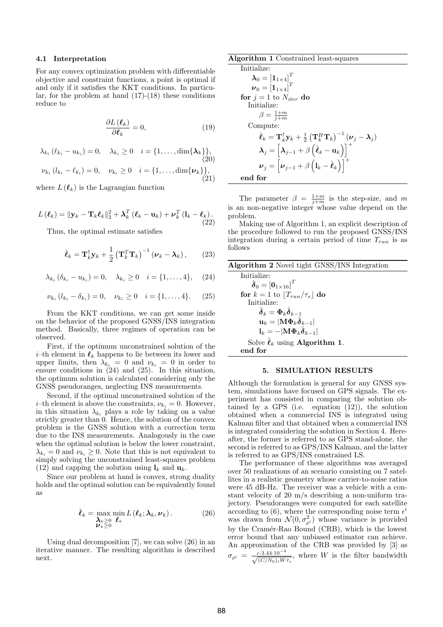#### 4.1 Interpretation

For any convex optimization problem with differentiable objective and constraint functions, a point is optimal if and only if it satisfies the KKT conditions. In particular, for the problem at hand  $(17)-(18)$  these conditions reduce to

$$
\frac{\partial L\left(\boldsymbol{\ell}_{k}\right)}{\partial\boldsymbol{\ell}_{k}}=0,\tag{19}
$$

$$
\lambda_{k_i} (\ell_{k_i} - u_{k_i}) = 0, \quad \lambda_{k_i} \ge 0 \quad i = \{1, ..., \dim\{\lambda_k\}\},
$$
  
(20)  

$$
\nu_{k_i} (l_{k_i} - \ell_{k_i}) = 0, \quad \nu_{k_i} \ge 0 \quad i = \{1, ..., \dim\{\nu_k\}\},
$$

 $(21)$ 

where  $L(\ell_k)$  is the Lagrangian function

$$
L(\ell_k) = \|\mathbf{y}_k - \mathbf{T}_k \ell_k\|_2^2 + \boldsymbol{\lambda}_k^T (\ell_k - \mathbf{u}_k) + \boldsymbol{\nu}_k^T (\mathbf{l}_k - \ell_k).
$$
\n(22)

Thus, the optimal estimate satisfies

$$
\hat{\boldsymbol{\ell}}_k = \mathbf{T}_k^{\dagger} \mathbf{y}_k + \frac{1}{2} \left( \mathbf{T}_k^T \mathbf{T}_k \right)^{-1} \left( \boldsymbol{\nu}_k - \boldsymbol{\lambda}_k \right), \qquad (23)
$$

$$
\lambda_{k_i} (\delta_{k_i} - u_{k_i}) = 0, \quad \lambda_{k_i} \ge 0 \quad i = \{1, ..., 4\}, \quad (24)
$$

$$
\nu_{k_i} (l_{k_i} - \delta_{k_i}) = 0, \quad \nu_{k_i} \ge 0 \quad i = \{1, ..., 4\}. \tag{25}
$$

From the KKT conditions, we can get some inside on the behavior of the proposed GNSS/INS integration method. Basically, three regimes of operation can be observed.

First, if the optimum unconstrained solution of the *i*–th element in  $\ell_k$  happens to lie between its lower and upper limits, then  $\lambda_{k_i} = 0$  and  $\nu_{k_i} = 0$  in order to ensure conditions in (24) and (25). In this situation, the optimum solution is calculated considering only the GNSS pseudoranges, neglecting INS measurements.

Second, if the optimal unconstrained solution of the *i*–th element is above the constraints,  $\nu_{k_i} = 0$ . However, in this situation  $\lambda_{k_i}$  plays a role by taking on a value strictly greater than 0. Hence, the solution of the convex problem is the GNSS solution with a correction term due to the INS measurements. Analogously in the case when the optimal solution is below the lower constraint,  $\lambda_{k_i} = 0$  and  $\nu_{k_i} \geq 0$ . Note that this is not equivalent to simply solving the unconstrained least-squares problem (12) and capping the solution using  $\mathbf{l}_k$  and  $\mathbf{u}_k$ .

Since our problem at hand is convex, strong duality holds and the optimal solution can be equivalently found as

$$
\hat{\boldsymbol{\ell}}_k = \max_{\substack{\boldsymbol{\lambda}_k \geq 0 \\ \boldsymbol{\nu}_k \geq 0}} \min_{\boldsymbol{\ell}_k} L(\boldsymbol{\ell}_k; \boldsymbol{\lambda}_k, \boldsymbol{\nu}_k).
$$
(26)

Using dual decomposition [7], we can solve (26) in an iterative manner. The resulting algorithm is described next.

| Algorithm 1 Constrained least-squares |  |  |
|---------------------------------------|--|--|
|---------------------------------------|--|--|

```
Initialize:
     \boldsymbol{\lambda}_0 = \left[\mathbf{1}_{1 \times 4}\right]^T\boldsymbol{\nu}_0 = \left[\mathbf{1}_{1\times 4}\right]^Tfor j = 1 to N_{iter} do
Initialize:
             \beta = \frac{1+m}{j+m}Compute:
             \hat{\bm{\ell}}_k = \mathbf{T}^{\dagger}_k \mathbf{y}_k + \frac{1}{2}\left( \mathbf{T}_{k}^{H}\mathbf{T}_{k}\right)\mathbf{T}_k^{\dagger} \mathbf{y}_k + \frac{1}{2} \left( \mathbf{T}_k^H \mathbf{T}_k \right)^{-1} \left( \boldsymbol{\nu}_j - \boldsymbol{\lambda}_j \right)\bm{\lambda}_j = \left[\bm{\lambda}_{j-1} + \beta\left(\hat{\bm{\ell}}_k - \mathbf{u}_k\right)\right]\boldsymbol{\nu}_j = \left | \boldsymbol{\nu}_{j-1} + \beta \left ( \boldsymbol{1}_k - \hat{\boldsymbol{\ell}}_k \right ) \right |\begin{bmatrix} 1 & 1 & 1 & 1 \\ 1 & 1 & 1 & 1 \\ 1 & 1 & 1 & 1 \\ 1 & 1 & 1 & 1 \end{bmatrix}end for
```
The parameter  $\beta = \frac{1+m}{j+m}$  is the step-size, and m is an non-negative integer whose value depend on the problem.

Making use of Algorithm 1, an explicit description of the procedure followed to run the proposed GNSS/INS integration during a certain period of time  $T_{run}$  is as follows

| <b>Algorithm 2</b> Novel tight GNSS/INS Integration                                 |
|-------------------------------------------------------------------------------------|
| Initialize:                                                                         |
| $\hat{\boldsymbol{\delta}}_0 = \left[\mathbf{0}_{1\times16}\right]^T$               |
| for $k = 1$ to $ T_{run}/\tau_s $ do                                                |
| Initialize:                                                                         |
| $\hat{\boldsymbol{\delta}}_k = \boldsymbol{\Phi}_k \hat{\boldsymbol{\delta}}_{k-1}$ |
| $\mathbf{u}_k =  \mathbf{M} \mathbf{\Phi}_k \hat{\boldsymbol{\delta}}_{k-1} $       |
| $\mathbf{l}_k = - \mathbf{M}\mathbf{\Phi}_k\hat{\boldsymbol{\delta}}_{k-1} $        |
| Solve $\hat{\ell}_k$ using <b>Algorithm 1.</b>                                      |
| end for                                                                             |

#### 5. SIMULATION RESULTS

Although the formulation is general for any GNSS system, simulations have focused on GPS signals. The experiment has consisted in comparing the solution obtained by a GPS (i.e. equation  $(12)$ ), the solution obtained when a commercial INS is integrated using Kalman filter and that obtained when a commercial INS is integrated considering the solution in Section 4. Hereafter, the former is referred to as GPS stand-alone, the second is referred to as GPS/INS Kalman, and the latter is referred to as GPS/INS constrained LS.

The performance of these algorithms was averaged over 50 realizations of an scenario consisting on 7 satellites in a realistic geometry whose carrier-to-noise ratios were 45 dB-Hz. The receiver was a vehicle with a constant velocity of 20 m/s describing a non-uniform trajectory. Pseudoranges were computed for each satellite according to (6), where the corresponding noise term  $\epsilon^i$ was drawn from  $\mathcal{N}(0, \sigma_{\rho^{i}}^2)$  whose variance is provided by the Cramér-Rao Bound (CRB), which is the lowest error bound that any unbiased estimator can achieve. An approximation of the CRB was provided by [3] as  $\sigma_{\rho^i} = \frac{c \cdot 3.44 \cdot 10^{-4}}{\sqrt{(C/N_0)_i W_{\tau_s}}}$ , where W is the filter bandwidth